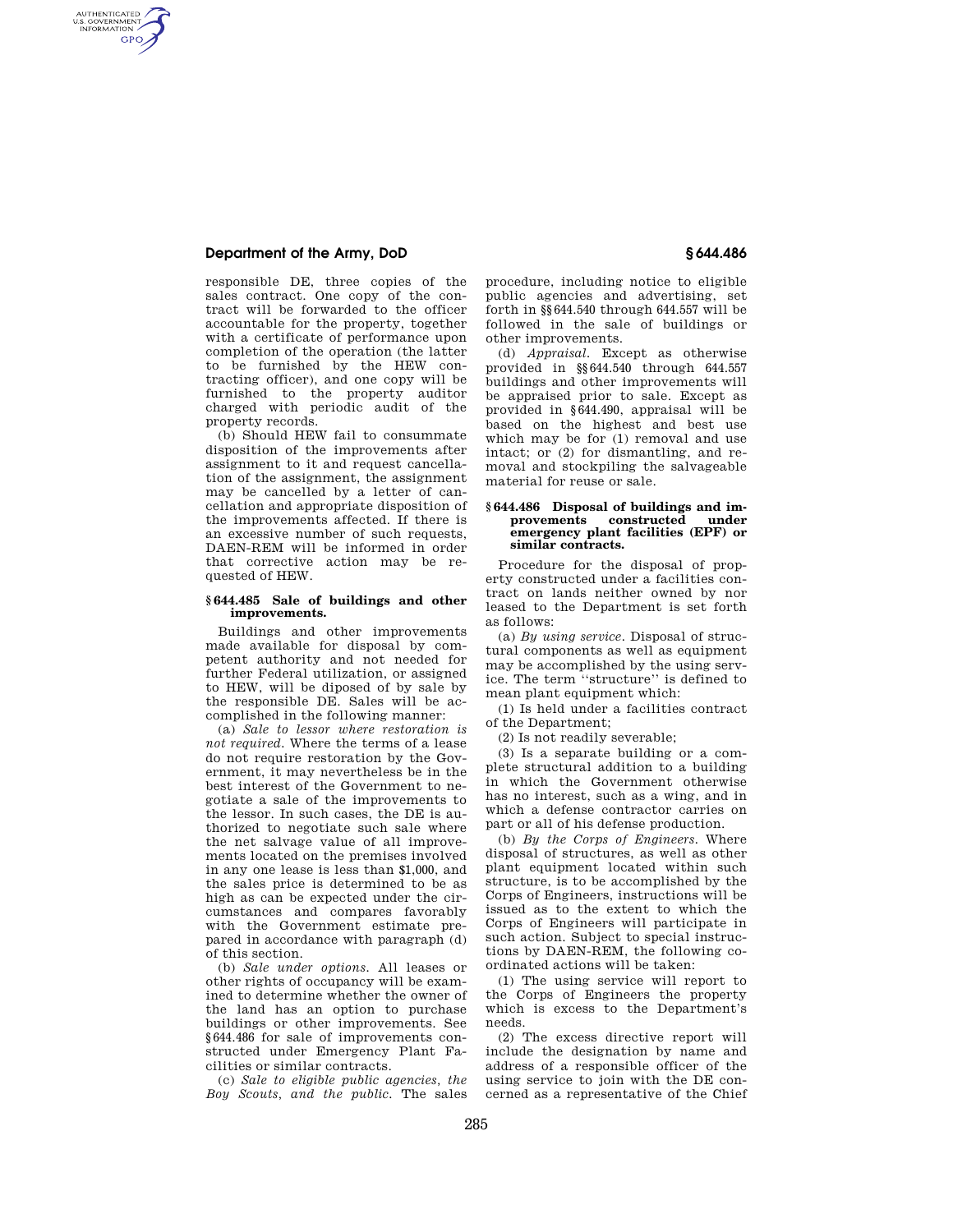## **Department of the Army, DoD § 644.486**

AUTHENTICATED<br>U.S. GOVERNMENT<br>INFORMATION **GPO** 

> responsible DE, three copies of the sales contract. One copy of the contract will be forwarded to the officer accountable for the property, together with a certificate of performance upon completion of the operation (the latter to be furnished by the HEW contracting officer), and one copy will be furnished to the property auditor charged with periodic audit of the property records.

> (b) Should HEW fail to consummate disposition of the improvements after assignment to it and request cancellation of the assignment, the assignment may be cancelled by a letter of cancellation and appropriate disposition of the improvements affected. If there is an excessive number of such requests, DAEN-REM will be informed in order that corrective action may be requested of HEW.

### **§ 644.485 Sale of buildings and other improvements.**

Buildings and other improvements made available for disposal by competent authority and not needed for further Federal utilization, or assigned to HEW, will be diposed of by sale by the responsible DE. Sales will be accomplished in the following manner:

(a) *Sale to lessor where restoration is not required.* Where the terms of a lease do not require restoration by the Government, it may nevertheless be in the best interest of the Government to negotiate a sale of the improvements to the lessor. In such cases, the DE is authorized to negotiate such sale where the net salvage value of all improvements located on the premises involved in any one lease is less than \$1,000, and the sales price is determined to be as high as can be expected under the circumstances and compares favorably with the Government estimate prepared in accordance with paragraph (d) of this section.

(b) *Sale under options.* All leases or other rights of occupancy will be examined to determine whether the owner of the land has an option to purchase buildings or other improvements. See §644.486 for sale of improvements constructed under Emergency Plant Facilities or similar contracts.

(c) *Sale to eligible public agencies, the Boy Scouts, and the public.* The sales

procedure, including notice to eligible public agencies and advertising, set forth in §§644.540 through 644.557 will be followed in the sale of buildings or other improvements.

(d) *Appraisal.* Except as otherwise provided in §§644.540 through 644.557 buildings and other improvements will be appraised prior to sale. Except as provided in §644.490, appraisal will be based on the highest and best use which may be for (1) removal and use intact; or (2) for dismantling, and removal and stockpiling the salvageable material for reuse or sale.

#### **§ 644.486 Disposal of buildings and improvements constructed under emergency plant facilities (EPF) or similar contracts.**

Procedure for the disposal of property constructed under a facilities contract on lands neither owned by nor leased to the Department is set forth as follows:

(a) *By using service.* Disposal of structural components as well as equipment may be accomplished by the using service. The term ''structure'' is defined to mean plant equipment which:

(1) Is held under a facilities contract of the Department;

(2) Is not readily severable;

(3) Is a separate building or a complete structural addition to a building in which the Government otherwise has no interest, such as a wing, and in which a defense contractor carries on part or all of his defense production.

(b) *By the Corps of Engineers.* Where disposal of structures, as well as other plant equipment located within such structure, is to be accomplished by the Corps of Engineers, instructions will be issued as to the extent to which the Corps of Engineers will participate in such action. Subject to special instructions by DAEN-REM, the following coordinated actions will be taken:

(1) The using service will report to the Corps of Engineers the property which is excess to the Department's needs.

(2) The excess directive report will include the designation by name and address of a responsible officer of the using service to join with the DE concerned as a representative of the Chief